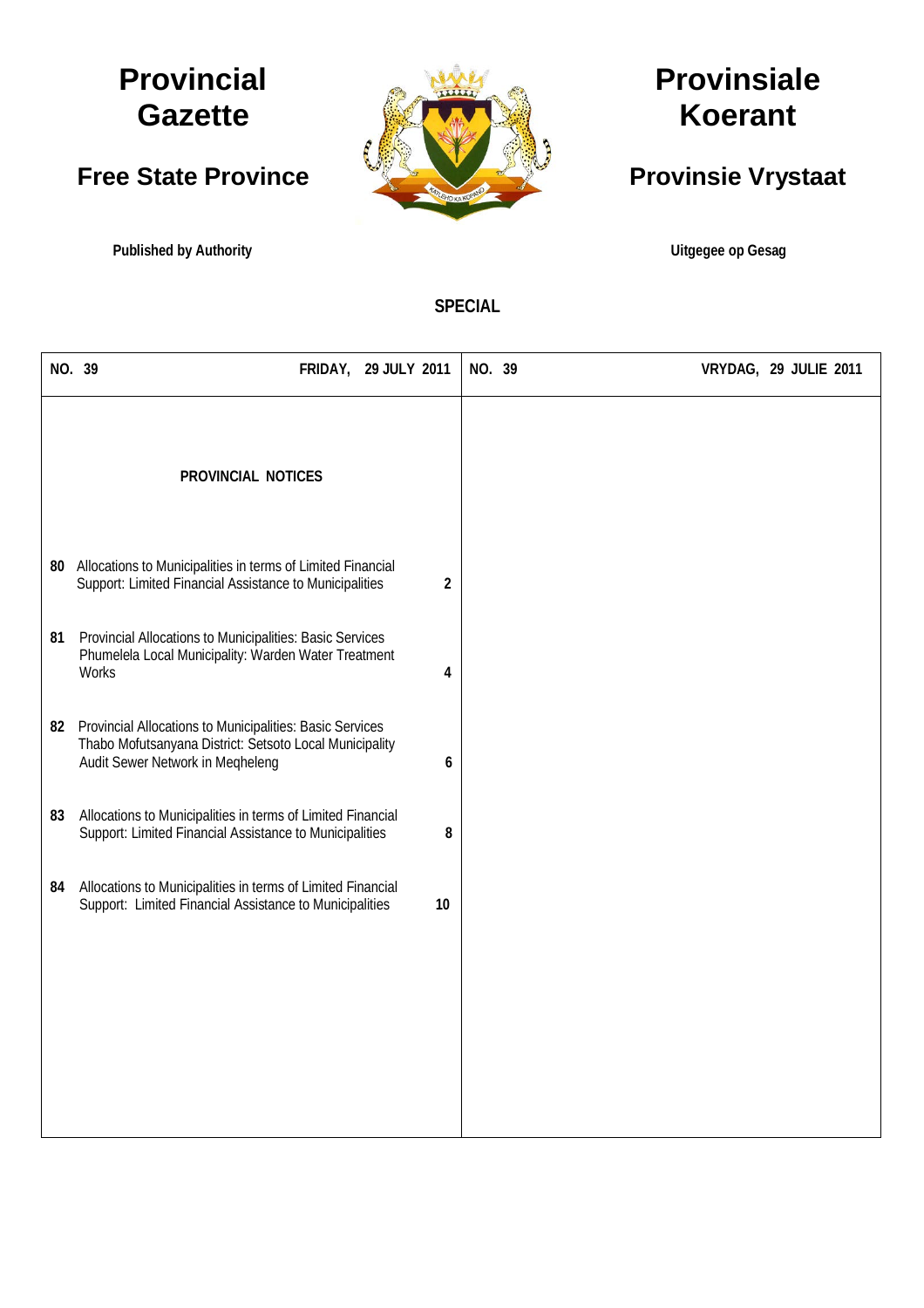# **Provincial Gazette**

# **Free State Province**

**Published by Authority Community Community Community Community Community Community Community Community Community** 



# **Provinsiale Koerant**

# **Provinsie Vrystaat**

**SPECIAL**

| NO. 39 |                                                                                                                                                         | <b>FRIDAY, 29 JULY 2011</b> |    | NO. 39 | VRYDAG, 29 JULIE 2011 |
|--------|---------------------------------------------------------------------------------------------------------------------------------------------------------|-----------------------------|----|--------|-----------------------|
|        | <b>PROVINCIAL NOTICES</b>                                                                                                                               |                             |    |        |                       |
| 80     | Allocations to Municipalities in terms of Limited Financial<br>Support: Limited Financial Assistance to Municipalities                                  |                             | 2  |        |                       |
| 81     | Provincial Allocations to Municipalities: Basic Services<br>Phumelela Local Municipality: Warden Water Treatment<br>Works                               |                             | 4  |        |                       |
| 82     | Provincial Allocations to Municipalities: Basic Services<br>Thabo Mofutsanyana District: Setsoto Local Municipality<br>Audit Sewer Network in Meqheleng |                             | 6  |        |                       |
| 83     | Allocations to Municipalities in terms of Limited Financial<br>Support: Limited Financial Assistance to Municipalities                                  |                             | 8  |        |                       |
| 84     | Allocations to Municipalities in terms of Limited Financial<br>Support: Limited Financial Assistance to Municipalities                                  |                             | 10 |        |                       |
|        |                                                                                                                                                         |                             |    |        |                       |
|        |                                                                                                                                                         |                             |    |        |                       |
|        |                                                                                                                                                         |                             |    |        |                       |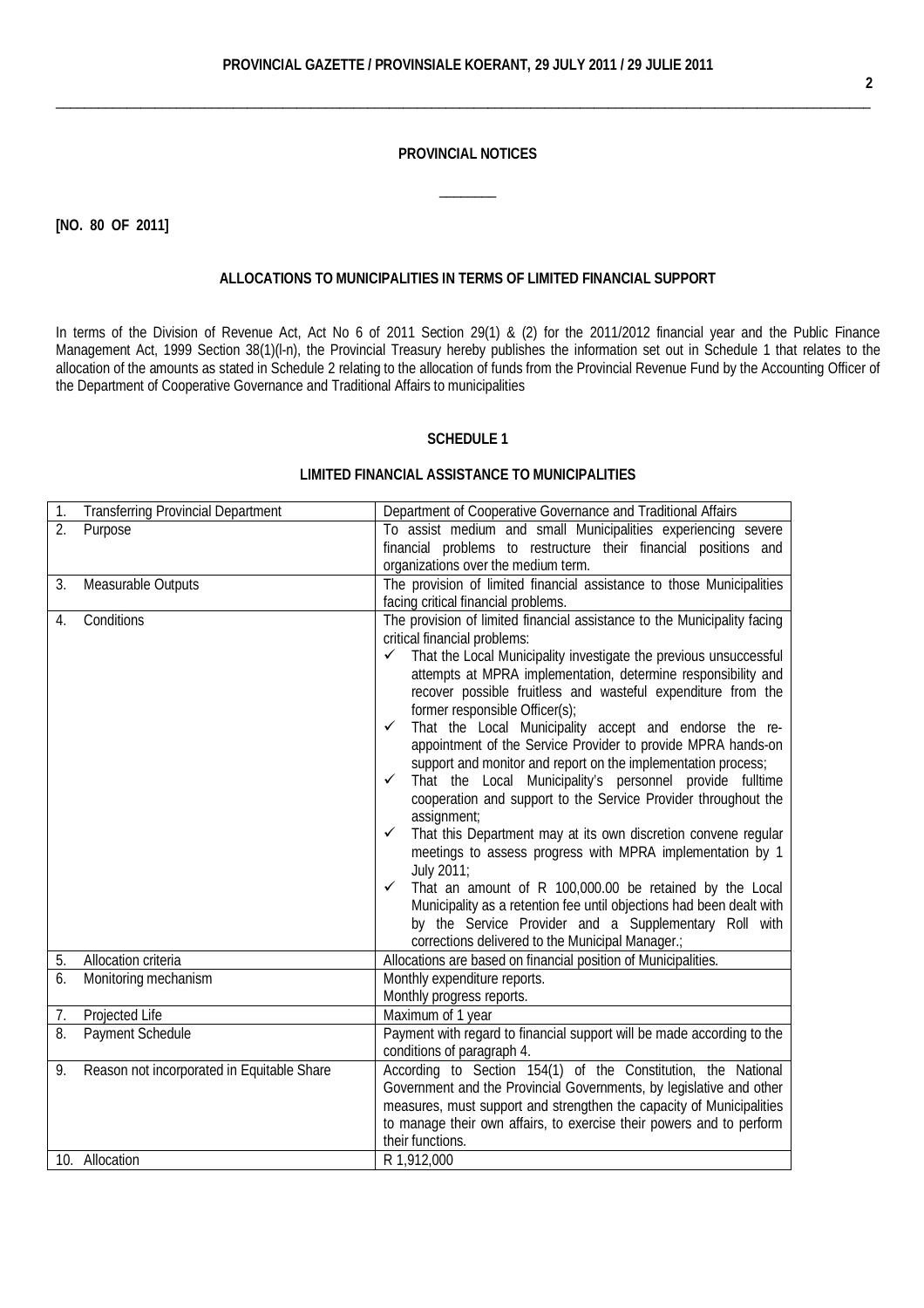\_\_\_\_\_\_\_\_\_\_\_\_\_\_\_\_\_\_\_\_\_\_\_\_\_\_\_\_\_\_\_\_\_\_\_\_\_\_\_\_\_\_\_\_\_\_\_\_\_\_\_\_\_\_\_\_\_\_\_\_\_\_\_\_\_\_\_\_\_\_\_\_\_\_\_\_\_\_\_\_\_\_\_\_\_\_\_\_\_\_\_\_\_\_\_\_\_\_\_\_\_\_\_\_\_\_\_\_\_\_\_\_\_\_\_

#### **PROVINCIAL NOTICES**

 $\overline{\phantom{a}}$ 

**[NO. 80 OF 2011]**

#### **ALLOCATIONS TO MUNICIPALITIES IN TERMS OF LIMITED FINANCIAL SUPPORT**

In terms of the [Division of Revenue Act,](http://greengazette.co.za/acts/division-of-revenue-act_1998-028) [Act](http://greengazette.co.za/acts/act_1969-049) No 6 of 2011 Section 29(1) & (2) for the 2011/2012 financial year and the [Public Finance](http://greengazette.co.za/acts/public-finance-management-act_1999-001)  [Management Act,](http://greengazette.co.za/acts/public-finance-management-act_1999-001) 1999 Section 38(1)(l-n), the Provincial Treasury hereby publishes the information set out in Schedule 1 that relates to the allocation of the amounts as stated in Schedule 2 relating to the allocation of funds from the Provincial Revenue Fund by the Accounting Officer of the [Department of Cooperative Governance](http://greengazette.co.za/departments/governance) and Traditional Affairs to municipalities

# **SCHEDULE 1**

# **LIMITED FINANCIAL ASSISTANCE TO MUNICIPALITIES**

| 1. | <b>Transferring Provincial Department</b>  | Department of Cooperative Governance and Traditional Affairs                                                                                                                                  |  |  |  |  |  |  |
|----|--------------------------------------------|-----------------------------------------------------------------------------------------------------------------------------------------------------------------------------------------------|--|--|--|--|--|--|
| 2. | Purpose                                    | To assist medium and small Municipalities experiencing severe                                                                                                                                 |  |  |  |  |  |  |
|    |                                            | financial problems to restructure their financial positions and                                                                                                                               |  |  |  |  |  |  |
|    |                                            | organizations over the medium term.                                                                                                                                                           |  |  |  |  |  |  |
| 3. | Measurable Outputs                         | The provision of limited financial assistance to those Municipalities                                                                                                                         |  |  |  |  |  |  |
|    |                                            | facing critical financial problems.                                                                                                                                                           |  |  |  |  |  |  |
| 4. | Conditions                                 | The provision of limited financial assistance to the Municipality facing<br>critical financial problems:<br>That the Local Municipality investigate the previous unsuccessful<br>$\checkmark$ |  |  |  |  |  |  |
|    |                                            | attempts at MPRA implementation, determine responsibility and<br>recover possible fruitless and wasteful expenditure from the<br>former responsible Officer(s);                               |  |  |  |  |  |  |
|    |                                            | That the Local Municipality accept and endorse the re-<br>✓<br>appointment of the Service Provider to provide MPRA hands-on<br>support and monitor and report on the implementation process;  |  |  |  |  |  |  |
|    |                                            | That the Local Municipality's personnel provide fulltime<br>✓<br>cooperation and support to the Service Provider throughout the                                                               |  |  |  |  |  |  |
|    |                                            | assignment;                                                                                                                                                                                   |  |  |  |  |  |  |
|    |                                            | That this Department may at its own discretion convene regular<br>✓<br>meetings to assess progress with MPRA implementation by 1                                                              |  |  |  |  |  |  |
|    |                                            | July 2011;<br>That an amount of R 100,000.00 be retained by the Local<br>✓                                                                                                                    |  |  |  |  |  |  |
|    |                                            | Municipality as a retention fee until objections had been dealt with                                                                                                                          |  |  |  |  |  |  |
|    |                                            | by the Service Provider and a Supplementary Roll with                                                                                                                                         |  |  |  |  |  |  |
|    |                                            | corrections delivered to the Municipal Manager.;                                                                                                                                              |  |  |  |  |  |  |
| 5. | Allocation criteria                        | Allocations are based on financial position of Municipalities.                                                                                                                                |  |  |  |  |  |  |
| 6. | Monitoring mechanism                       | Monthly expenditure reports.                                                                                                                                                                  |  |  |  |  |  |  |
|    |                                            | Monthly progress reports.                                                                                                                                                                     |  |  |  |  |  |  |
| 7. | Projected Life                             | Maximum of 1 year                                                                                                                                                                             |  |  |  |  |  |  |
| 8. | <b>Payment Schedule</b>                    | Payment with regard to financial support will be made according to the                                                                                                                        |  |  |  |  |  |  |
|    |                                            | conditions of paragraph 4.                                                                                                                                                                    |  |  |  |  |  |  |
| 9. | Reason not incorporated in Equitable Share | According to Section 154(1) of the Constitution, the National                                                                                                                                 |  |  |  |  |  |  |
|    |                                            | Government and the Provincial Governments, by legislative and other                                                                                                                           |  |  |  |  |  |  |
|    |                                            | measures, must support and strengthen the capacity of Municipalities                                                                                                                          |  |  |  |  |  |  |
|    |                                            | to manage their own affairs, to exercise their powers and to perform                                                                                                                          |  |  |  |  |  |  |
|    |                                            | their functions.                                                                                                                                                                              |  |  |  |  |  |  |
|    | 10. Allocation                             | R 1,912,000                                                                                                                                                                                   |  |  |  |  |  |  |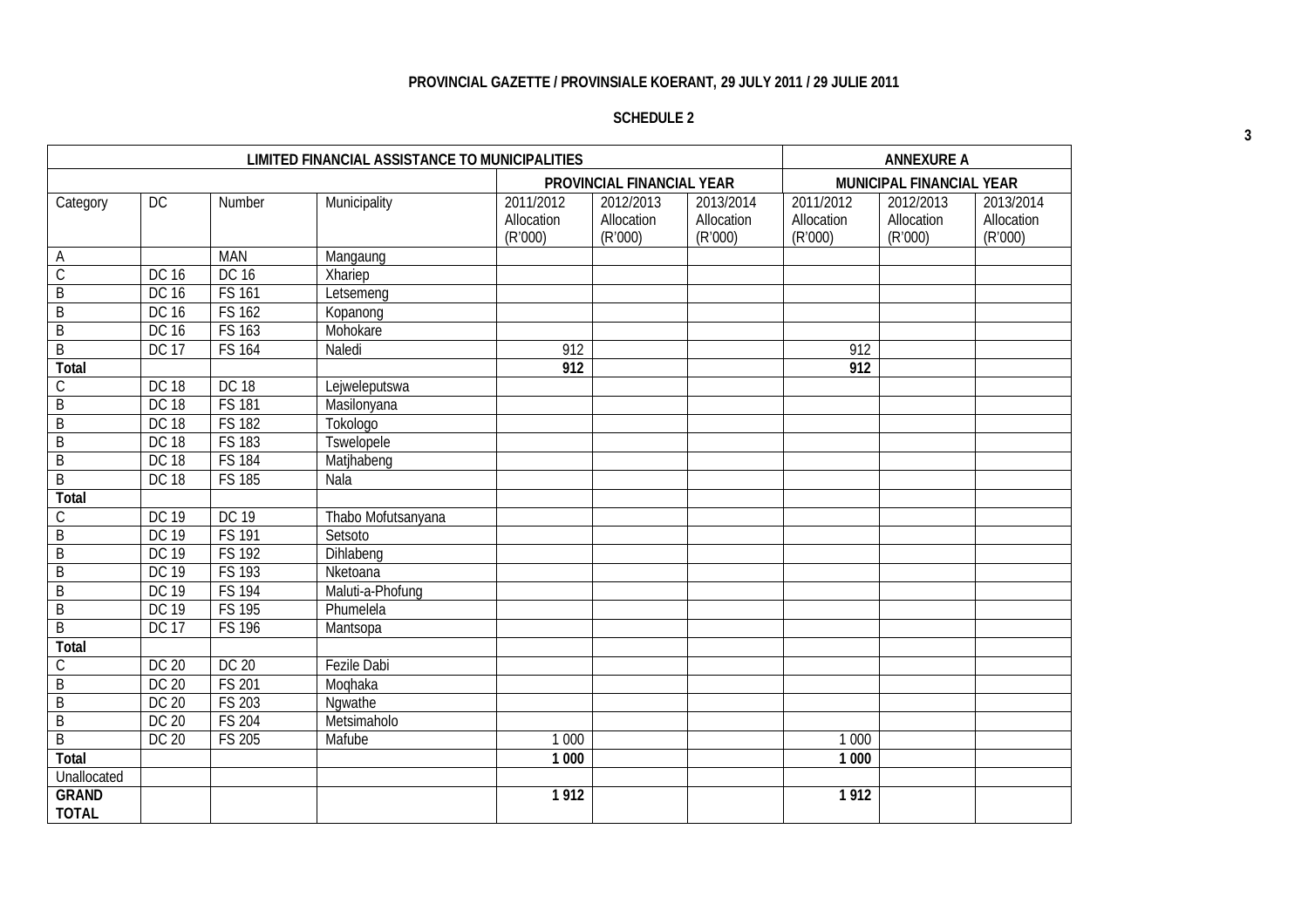# **PROVINCIAL GAZETTE / PROVINSIALE KOERANT, 29 JULY 2011 / 29 JULIE 2011**

# **SCHEDULE 2**

| <b>LIMITED FINANCIAL ASSISTANCE TO MUNICIPALITIES</b> |              |               |                    |                                    |                                    |                                    | <b>ANNEXURE A</b>                  |                                    |                                    |
|-------------------------------------------------------|--------------|---------------|--------------------|------------------------------------|------------------------------------|------------------------------------|------------------------------------|------------------------------------|------------------------------------|
|                                                       |              |               |                    |                                    | <b>PROVINCIAL FINANCIAL YEAR</b>   |                                    |                                    | <b>MUNICIPAL FINANCIAL YEAR</b>    |                                    |
| Category                                              | DC           | Number        | Municipality       | 2011/2012<br>Allocation<br>(R'000) | 2012/2013<br>Allocation<br>(R'000) | 2013/2014<br>Allocation<br>(R'000) | 2011/2012<br>Allocation<br>(R'000) | 2012/2013<br>Allocation<br>(R'000) | 2013/2014<br>Allocation<br>(R'000) |
| A                                                     |              | <b>MAN</b>    | Mangaung           |                                    |                                    |                                    |                                    |                                    |                                    |
| $\overline{C}$                                        | DC 16        | <b>DC 16</b>  | Xhariep            |                                    |                                    |                                    |                                    |                                    |                                    |
| $\overline{B}$                                        | DC 16        | <b>FS 161</b> | Letsemeng          |                                    |                                    |                                    |                                    |                                    |                                    |
| B                                                     | DC 16        | <b>FS 162</b> | Kopanong           |                                    |                                    |                                    |                                    |                                    |                                    |
| $\overline{B}$                                        | DC 16        | <b>FS 163</b> | Mohokare           |                                    |                                    |                                    |                                    |                                    |                                    |
| $\overline{B}$                                        | <b>DC 17</b> | <b>FS 164</b> | Naledi             | 912                                |                                    |                                    | 912                                |                                    |                                    |
| <b>Total</b>                                          |              |               |                    | $\overline{912}$                   |                                    |                                    | $\overline{912}$                   |                                    |                                    |
| С                                                     | <b>DC 18</b> | <b>DC 18</b>  | Lejweleputswa      |                                    |                                    |                                    |                                    |                                    |                                    |
| B                                                     | <b>DC 18</b> | <b>FS 181</b> | Masilonyana        |                                    |                                    |                                    |                                    |                                    |                                    |
| B                                                     | <b>DC 18</b> | <b>FS 182</b> | Tokologo           |                                    |                                    |                                    |                                    |                                    |                                    |
| B                                                     | <b>DC 18</b> | <b>FS 183</b> | <b>Tswelopele</b>  |                                    |                                    |                                    |                                    |                                    |                                    |
| B                                                     | <b>DC 18</b> | <b>FS 184</b> | Matjhabeng         |                                    |                                    |                                    |                                    |                                    |                                    |
| B                                                     | <b>DC 18</b> | <b>FS 185</b> | Nala               |                                    |                                    |                                    |                                    |                                    |                                    |
| <b>Total</b>                                          |              |               |                    |                                    |                                    |                                    |                                    |                                    |                                    |
| С                                                     | <b>DC 19</b> | <b>DC 19</b>  | Thabo Mofutsanyana |                                    |                                    |                                    |                                    |                                    |                                    |
| $\mathsf B$                                           | <b>DC 19</b> | <b>FS 191</b> | Setsoto            |                                    |                                    |                                    |                                    |                                    |                                    |
| $\overline{B}$                                        | <b>DC 19</b> | <b>FS 192</b> | Dihlabeng          |                                    |                                    |                                    |                                    |                                    |                                    |
| B                                                     | <b>DC 19</b> | <b>FS 193</b> | Nketoana           |                                    |                                    |                                    |                                    |                                    |                                    |
| B                                                     | <b>DC 19</b> | <b>FS 194</b> | Maluti-a-Phofung   |                                    |                                    |                                    |                                    |                                    |                                    |
| $\overline{B}$                                        | DC 19        | <b>FS 195</b> | Phumelela          |                                    |                                    |                                    |                                    |                                    |                                    |
| $\overline{B}$                                        | <b>DC 17</b> | <b>FS 196</b> | Mantsopa           |                                    |                                    |                                    |                                    |                                    |                                    |
| <b>Total</b>                                          |              |               |                    |                                    |                                    |                                    |                                    |                                    |                                    |
| $\mathsf C$                                           | <b>DC 20</b> | <b>DC 20</b>  | <b>Fezile Dabi</b> |                                    |                                    |                                    |                                    |                                    |                                    |
| $\overline{B}$                                        | <b>DC 20</b> | <b>FS 201</b> | Moqhaka            |                                    |                                    |                                    |                                    |                                    |                                    |
| B                                                     | <b>DC 20</b> | <b>FS 203</b> | Ngwathe            |                                    |                                    |                                    |                                    |                                    |                                    |
| B                                                     | <b>DC 20</b> | <b>FS 204</b> | Metsimaholo        |                                    |                                    |                                    |                                    |                                    |                                    |
| $\overline{B}$                                        | DC 20        | <b>FS 205</b> | Mafube             | 1 0 0 0                            |                                    |                                    | 1 0 0 0                            |                                    |                                    |
| <b>Total</b>                                          |              |               |                    | 1 000                              |                                    |                                    | 1 000                              |                                    |                                    |
| Unallocated                                           |              |               |                    |                                    |                                    |                                    |                                    |                                    |                                    |
| <b>GRAND</b><br><b>TOTAL</b>                          |              |               |                    | 1912                               |                                    |                                    | 1912                               |                                    |                                    |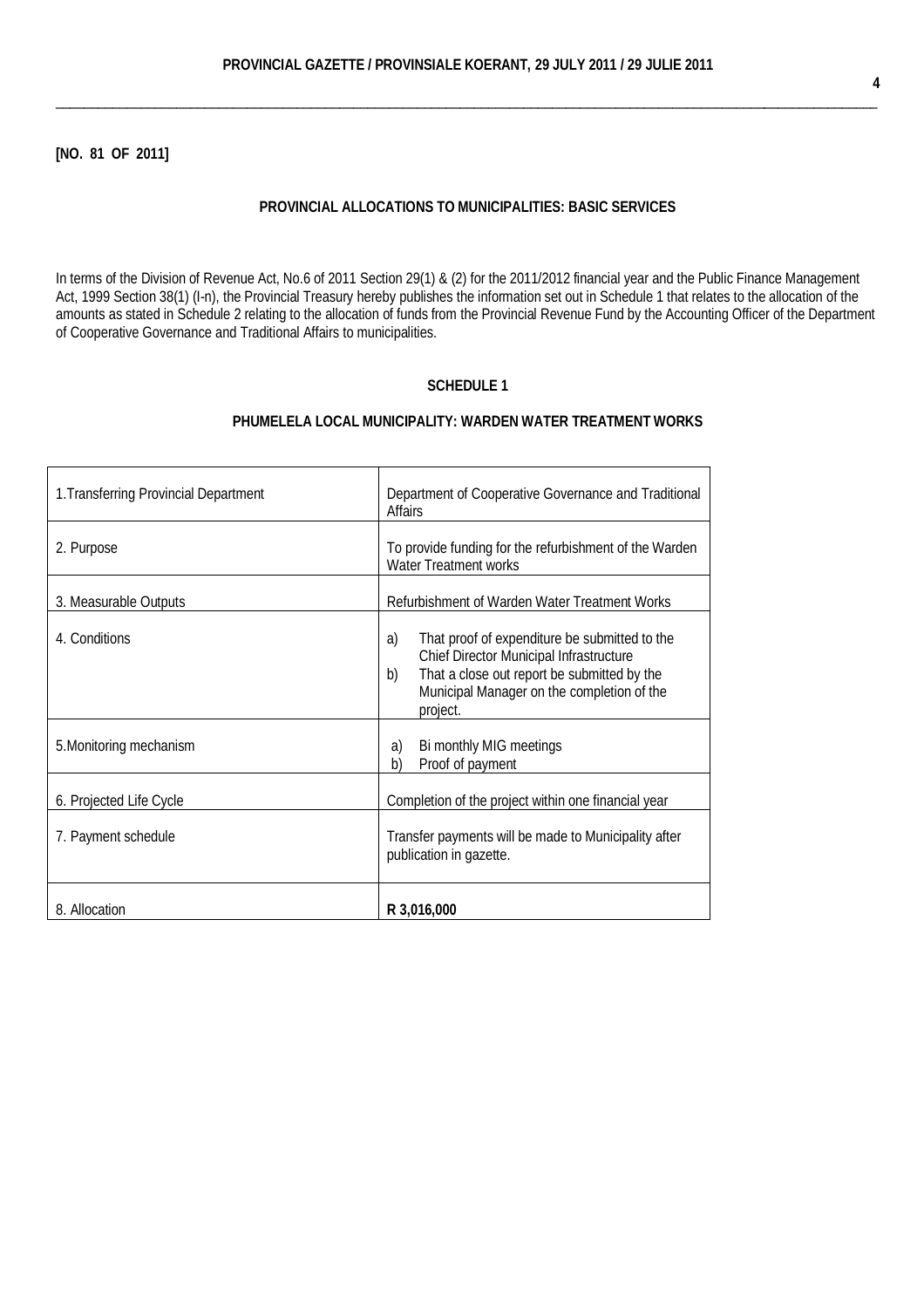\_\_\_\_\_\_\_\_\_\_\_\_\_\_\_\_\_\_\_\_\_\_\_\_\_\_\_\_\_\_\_\_\_\_\_\_\_\_\_\_\_\_\_\_\_\_\_\_\_\_\_\_\_\_\_\_\_\_\_\_\_\_\_\_\_\_\_\_\_\_\_\_\_\_\_\_\_\_\_\_\_\_\_\_\_\_\_\_\_\_\_\_\_\_\_\_\_\_\_\_\_\_\_\_\_\_\_\_\_\_\_\_\_\_\_\_

### **[NO. 81 OF 2011]**

 $\mathbf{r}$ 

#### **PROVINCIAL ALLOCATIONS TO MUNICIPALITIES: BASIC SERVICES**

In terms of the [Division of Revenue Act,](http://greengazette.co.za/acts/division-of-revenue-act_1998-028) No.6 of 2011 Section 29(1) & (2) for the 2011/2012 financial year and the [Public Finance Management](http://greengazette.co.za/acts/public-finance-management-act_1999-001)  [Act,](http://greengazette.co.za/acts/public-finance-management-act_1999-001) 1999 Section 38(1) (I-n), the Provincial Treasury hereby publishes the information set out in Schedule 1 that relates to the allocation of the amounts as stated in Schedule 2 relating to the allocation of funds from the Provincial Revenue Fund by the Accounting Officer of the [Department](http://greengazette.co.za/departments/governance) [of Cooperative Governance](http://greengazette.co.za/departments/governance) and Traditional Affairs to municipalities.

# **SCHEDULE 1**

# **PHUMELELA LOCAL MUNICIPALITY: WARDEN WATER TREATMENT WORKS**

 $\overline{\phantom{0}}$ 

| 1. Transferring Provincial Department | Department of Cooperative Governance and Traditional<br><b>Affairs</b>                                                                                                                                        |  |  |  |  |
|---------------------------------------|---------------------------------------------------------------------------------------------------------------------------------------------------------------------------------------------------------------|--|--|--|--|
| 2. Purpose                            | To provide funding for the refurbishment of the Warden<br><b>Water Treatment works</b>                                                                                                                        |  |  |  |  |
| 3. Measurable Outputs                 | Refurbishment of Warden Water Treatment Works                                                                                                                                                                 |  |  |  |  |
| 4. Conditions                         | That proof of expenditure be submitted to the<br>a)<br>Chief Director Municipal Infrastructure<br>That a close out report be submitted by the<br>b)<br>Municipal Manager on the completion of the<br>project. |  |  |  |  |
| 5. Monitoring mechanism               | Bi monthly MIG meetings<br>a)<br>b)<br>Proof of payment                                                                                                                                                       |  |  |  |  |
| 6. Projected Life Cycle               | Completion of the project within one financial year                                                                                                                                                           |  |  |  |  |
| 7. Payment schedule                   | Transfer payments will be made to Municipality after<br>publication in gazette.                                                                                                                               |  |  |  |  |
| 8. Allocation                         | R 3,016,000                                                                                                                                                                                                   |  |  |  |  |

 $\overline{\mathbf{r}}$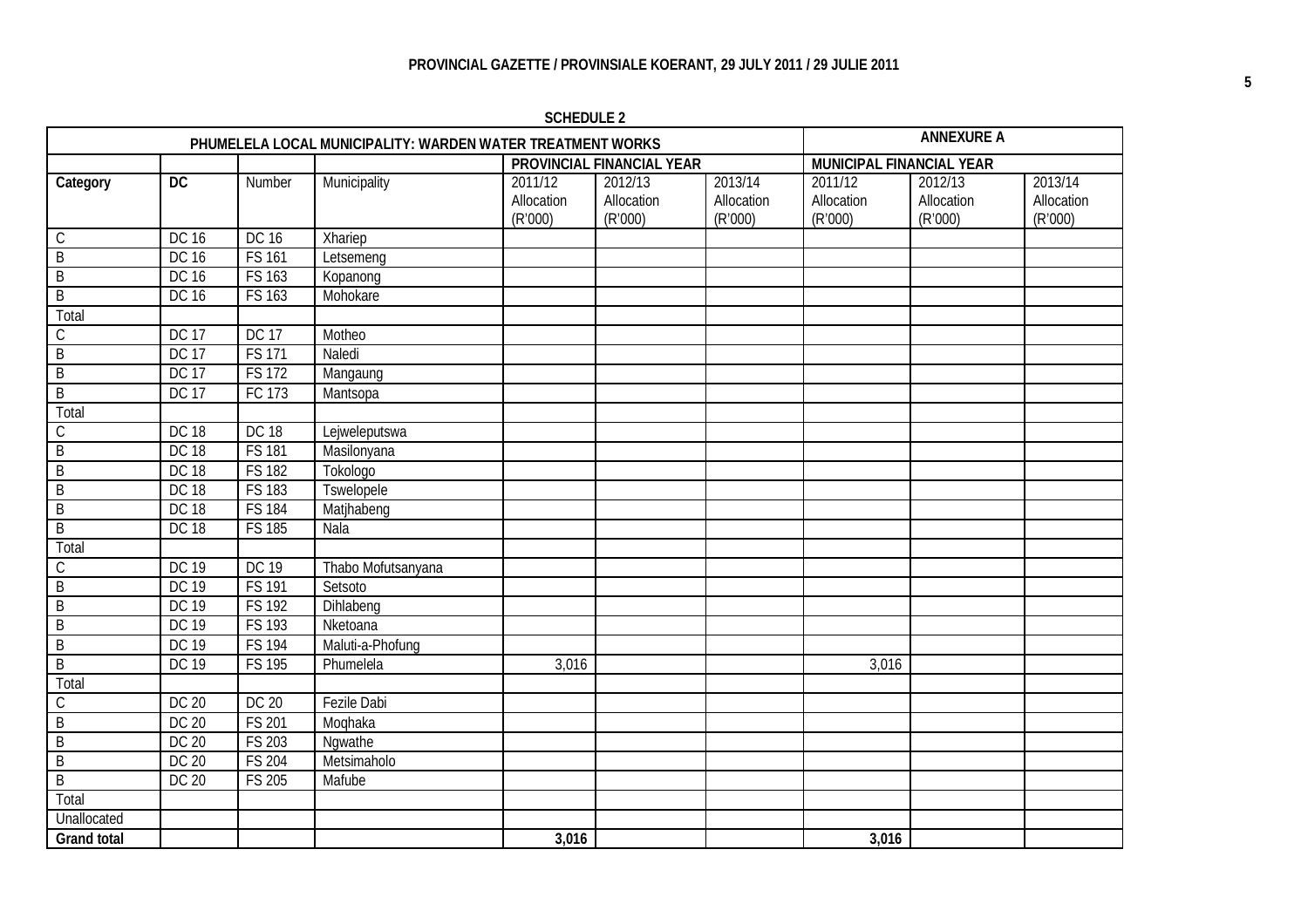**PHUMELELA LOCAL MUNICIPALITY: WARDEN WATER TREATMENT WORKS AND ANNEXURE A**<br> **PROVINCIAL FINANCIAL YEAR** MUNICIPAL FINANCIAL YEAR **PROVINCIAL FINANCIAL YEAR Category DC** Number Municipality 2011/12 Allocation (R'000) 2012/13 Allocation (R'000) 2013/14 Allocation (R'000) 2011/12 Allocation (R'000) 2012/13 Allocation (R'000) 2013/14 Allocation (R'000) C DC 16 DC 16 Xhariep B DC 16 FS 161 Letsemeng B DC 16 FS 163 Kopanong B DC 16 FS 163 Mohokare **Total** C DC 17 DC 17 Motheo B  $\overline{DC}$  17 FS 171 Naledi B DC 17 FS 172 Mangaung B DC 17 FC 173 Mantsopa **Total** C DC 18 DC 18 Lejweleputswa B DC 18 FS 181 Masilonyana B DC 18 FS 182 Tokologo B DC 18 FS 183 Tswelopele B DC 18 FS 184 Matihabeng B DC 18 FS 185 Nala Total C DC 19 DC 19 Thabo Mofutsanyana<br>B DC 19 FS 191 Setsoto B DC 19 FS 191 Setsoto B DC 19 FS 192 Dihlabeng<br>B DC 19 FS 193 Nketoana B DC 19 FS 193 Nketoana B DC 19 FS 194 Maluti-a-Phofung B DC 19 FS 195 Phumelela 3,016 3,016 Total C DC 20 DC 20 Fezile Dabi B DC 20 FS 201 Moqhaka B DC 20 FS 203 Ngwathe B DC 20 FS 204 Metsimaholo B DC 20 FS 205 Mafube **Total Unallocated Grand total 3,016 3,016**

**SCHEDULE 2**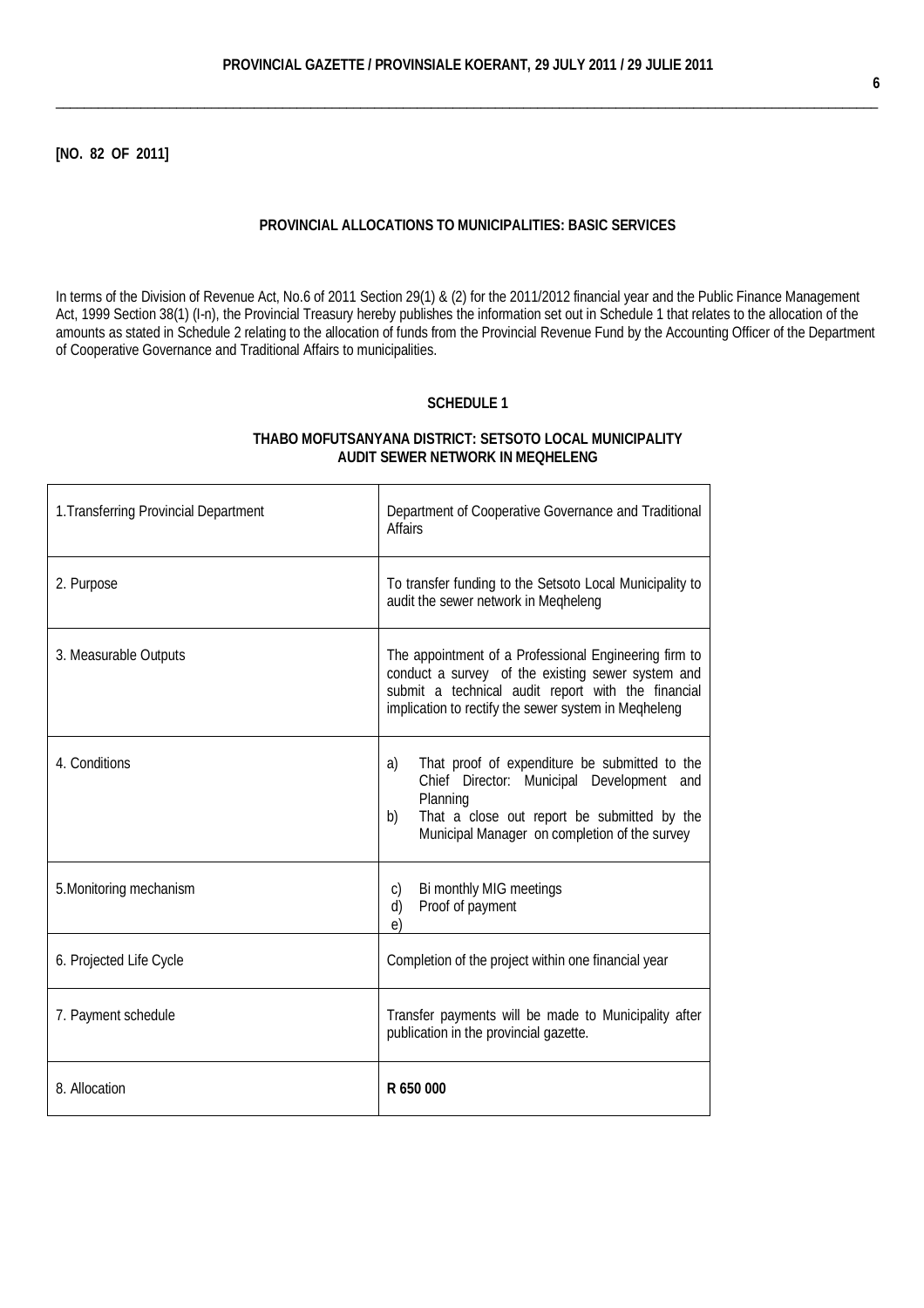\_\_\_\_\_\_\_\_\_\_\_\_\_\_\_\_\_\_\_\_\_\_\_\_\_\_\_\_\_\_\_\_\_\_\_\_\_\_\_\_\_\_\_\_\_\_\_\_\_\_\_\_\_\_\_\_\_\_\_\_\_\_\_\_\_\_\_\_\_\_\_\_\_\_\_\_\_\_\_\_\_\_\_\_\_\_\_\_\_\_\_\_\_\_\_\_\_\_\_\_\_\_\_\_\_\_\_\_\_\_\_\_\_\_\_\_

**[NO. 82 OF 2011]**

#### **PROVINCIAL ALLOCATIONS TO MUNICIPALITIES: BASIC SERVICES**

In terms of the [Division of Revenue Act,](http://greengazette.co.za/acts/division-of-revenue-act_1998-028) No.6 of 2011 Section 29(1) & (2) for the 2011/2012 financial year and the [Public Finance Management](http://greengazette.co.za/acts/public-finance-management-act_1999-001)  [Act,](http://greengazette.co.za/acts/public-finance-management-act_1999-001) 1999 Section 38(1) (I-n), the Provincial Treasury hereby publishes the information set out in Schedule 1 that relates to the allocation of the amounts as stated in Schedule 2 relating to the allocation of funds from the Provincial Revenue Fund by the Accounting Officer of the [Department](http://greengazette.co.za/departments/governance) [of Cooperative Governance](http://greengazette.co.za/departments/governance) and Traditional Affairs to municipalities.

#### **SCHEDULE 1**

#### **THABO MOFUTSANYANA DISTRICT: SETSOTO LOCAL MUNICIPALITY AUDIT SEWER NETWORK IN MEQHELENG**

| 1. Transferring Provincial Department | Department of Cooperative Governance and Traditional<br><b>Affairs</b>                                                                                                                                                   |
|---------------------------------------|--------------------------------------------------------------------------------------------------------------------------------------------------------------------------------------------------------------------------|
| 2. Purpose                            | To transfer funding to the Setsoto Local Municipality to<br>audit the sewer network in Megheleng                                                                                                                         |
| 3. Measurable Outputs                 | The appointment of a Professional Engineering firm to<br>conduct a survey of the existing sewer system and<br>submit a technical audit report with the financial<br>implication to rectify the sewer system in Megheleng |
| 4. Conditions                         | That proof of expenditure be submitted to the<br>a)<br>Chief Director: Municipal Development and<br>Planning<br>That a close out report be submitted by the<br>b)<br>Municipal Manager on completion of the survey       |
| 5. Monitoring mechanism               | Bi monthly MIG meetings<br>C)<br>Proof of payment<br>d)<br>e)                                                                                                                                                            |
| 6. Projected Life Cycle               | Completion of the project within one financial year                                                                                                                                                                      |
| 7. Payment schedule                   | Transfer payments will be made to Municipality after<br>publication in the provincial gazette.                                                                                                                           |
| 8. Allocation                         | R 650 000                                                                                                                                                                                                                |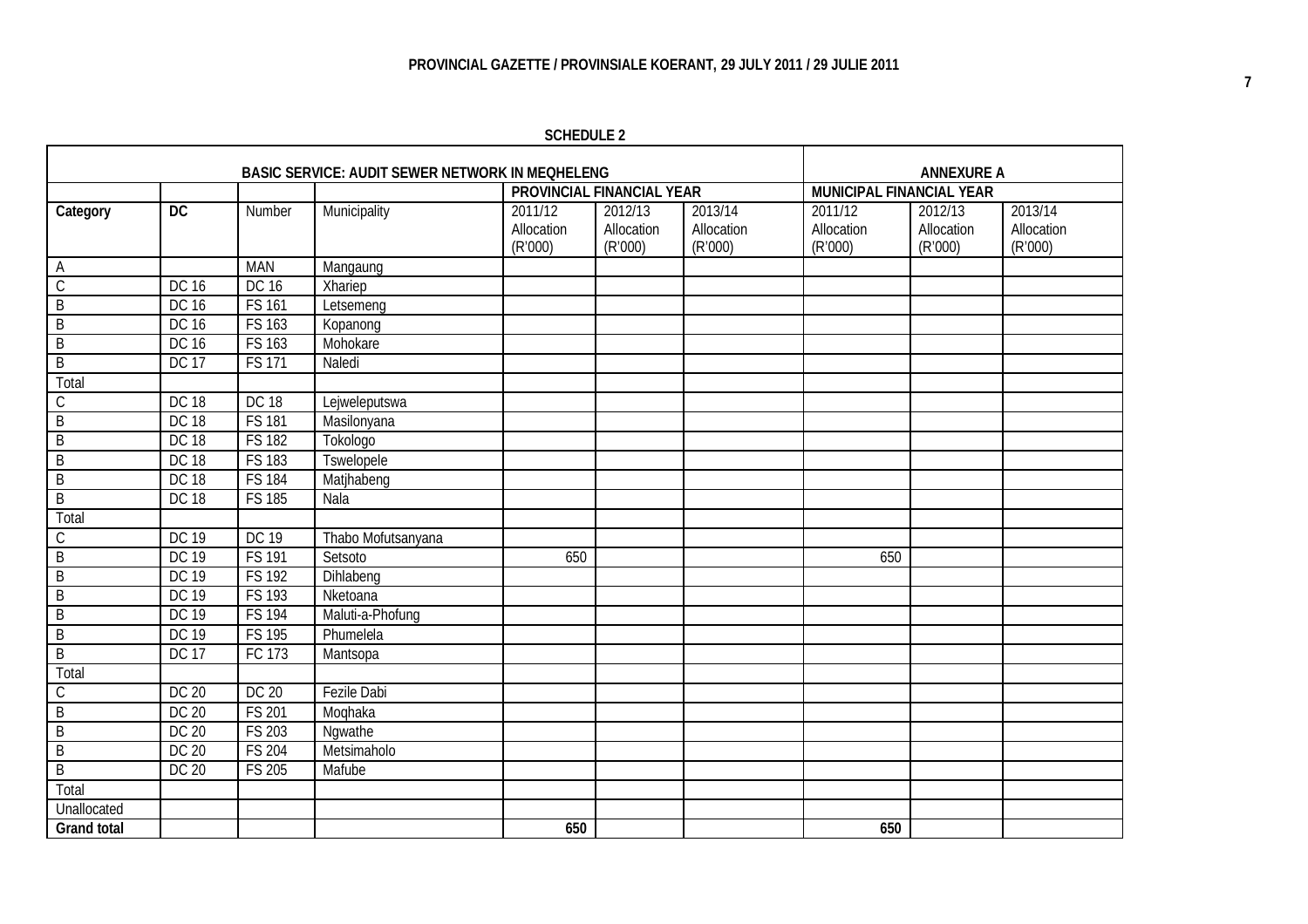# **PROVINCIAL GAZETTE / PROVINSIALE KOERANT, 29 JULY 2011 / 29 JULIE 2011**

**SCHEDULE 2**

|                    |                 |                     | <b>BASIC SERVICE: AUDIT SEWER NETWORK IN MEQHELENG</b> |                                  |                                  |                                  |                                  | <b>ANNEXURE A</b>                |                                  |
|--------------------|-----------------|---------------------|--------------------------------------------------------|----------------------------------|----------------------------------|----------------------------------|----------------------------------|----------------------------------|----------------------------------|
|                    |                 |                     |                                                        | <b>PROVINCIAL FINANCIAL YEAR</b> |                                  |                                  | <b>MUNICIPAL FINANCIAL YEAR</b>  |                                  |                                  |
| Category           | $\overline{DC}$ | Number              | Municipality                                           | 2011/12<br>Allocation<br>(R'000) | 2012/13<br>Allocation<br>(R'000) | 2013/14<br>Allocation<br>(R'000) | 2011/12<br>Allocation<br>(R'000) | 2012/13<br>Allocation<br>(R'000) | 2013/14<br>Allocation<br>(R'000) |
| Α                  |                 | <b>MAN</b>          | Mangaung                                               |                                  |                                  |                                  |                                  |                                  |                                  |
| $\mathsf C$        | <b>DC 16</b>    | <b>DC 16</b>        | Xhariep                                                |                                  |                                  |                                  |                                  |                                  |                                  |
| B                  | <b>DC 16</b>    | <b>FS 161</b>       | Letsemeng                                              |                                  |                                  |                                  |                                  |                                  |                                  |
| $\mathsf B$        | <b>DC 16</b>    | <b>FS 163</b>       | Kopanong                                               |                                  |                                  |                                  |                                  |                                  |                                  |
| $\mathsf B$        | <b>DC 16</b>    | FS 163              | Mohokare                                               |                                  |                                  |                                  |                                  |                                  |                                  |
| $\mathsf B$        | <b>DC 17</b>    | <b>FS 171</b>       | Naledi                                                 |                                  |                                  |                                  |                                  |                                  |                                  |
| Total              |                 |                     |                                                        |                                  |                                  |                                  |                                  |                                  |                                  |
| С                  | <b>DC 18</b>    | <b>DC 18</b>        | Lejweleputswa                                          |                                  |                                  |                                  |                                  |                                  |                                  |
| $\mathsf B$        | <b>DC 18</b>    | <b>FS 181</b>       | Masilonyana                                            |                                  |                                  |                                  |                                  |                                  |                                  |
| B                  | <b>DC 18</b>    | <b>FS 182</b>       | Tokologo                                               |                                  |                                  |                                  |                                  |                                  |                                  |
| B                  | <b>DC 18</b>    | <b>FS 183</b>       | Tswelopele                                             |                                  |                                  |                                  |                                  |                                  |                                  |
| B                  | <b>DC 18</b>    | <b>FS 184</b>       | Matjhabeng                                             |                                  |                                  |                                  |                                  |                                  |                                  |
| $\mathsf B$        | <b>DC 18</b>    | <b>FS 185</b>       | Nala                                                   |                                  |                                  |                                  |                                  |                                  |                                  |
| Total              |                 |                     |                                                        |                                  |                                  |                                  |                                  |                                  |                                  |
| C                  | <b>DC 19</b>    | <b>DC 19</b>        | Thabo Mofutsanyana                                     |                                  |                                  |                                  |                                  |                                  |                                  |
| B                  | <b>DC 19</b>    | <b>FS 191</b>       | Setsoto                                                | 650                              |                                  |                                  | 650                              |                                  |                                  |
| B                  | <b>DC 19</b>    | $\overline{FS}$ 192 | Dihlabeng                                              |                                  |                                  |                                  |                                  |                                  |                                  |
| $\mathsf B$        | <b>DC 19</b>    | FS 193              | Nketoana                                               |                                  |                                  |                                  |                                  |                                  |                                  |
| B                  | <b>DC 19</b>    | <b>FS 194</b>       | Maluti-a-Phofung                                       |                                  |                                  |                                  |                                  |                                  |                                  |
| B                  | <b>DC 19</b>    | <b>FS 195</b>       | Phumelela                                              |                                  |                                  |                                  |                                  |                                  |                                  |
| B                  | <b>DC 17</b>    | FC 173              | Mantsopa                                               |                                  |                                  |                                  |                                  |                                  |                                  |
| Total              |                 |                     |                                                        |                                  |                                  |                                  |                                  |                                  |                                  |
| C                  | <b>DC 20</b>    | <b>DC 20</b>        | <b>Fezile Dabi</b>                                     |                                  |                                  |                                  |                                  |                                  |                                  |
| $\mathsf B$        | <b>DC 20</b>    | <b>FS 201</b>       | Moqhaka                                                |                                  |                                  |                                  |                                  |                                  |                                  |
| B                  | <b>DC 20</b>    | <b>FS 203</b>       | Ngwathe                                                |                                  |                                  |                                  |                                  |                                  |                                  |
| $\mathsf B$        | <b>DC 20</b>    | <b>FS 204</b>       | Metsimaholo                                            |                                  |                                  |                                  |                                  |                                  |                                  |
| $\mathsf B$        | <b>DC 20</b>    | <b>FS 205</b>       | Mafube                                                 |                                  |                                  |                                  |                                  |                                  |                                  |
| Total              |                 |                     |                                                        |                                  |                                  |                                  |                                  |                                  |                                  |
| Unallocated        |                 |                     |                                                        |                                  |                                  |                                  |                                  |                                  |                                  |
| <b>Grand total</b> |                 |                     |                                                        | 650                              |                                  |                                  | 650                              |                                  |                                  |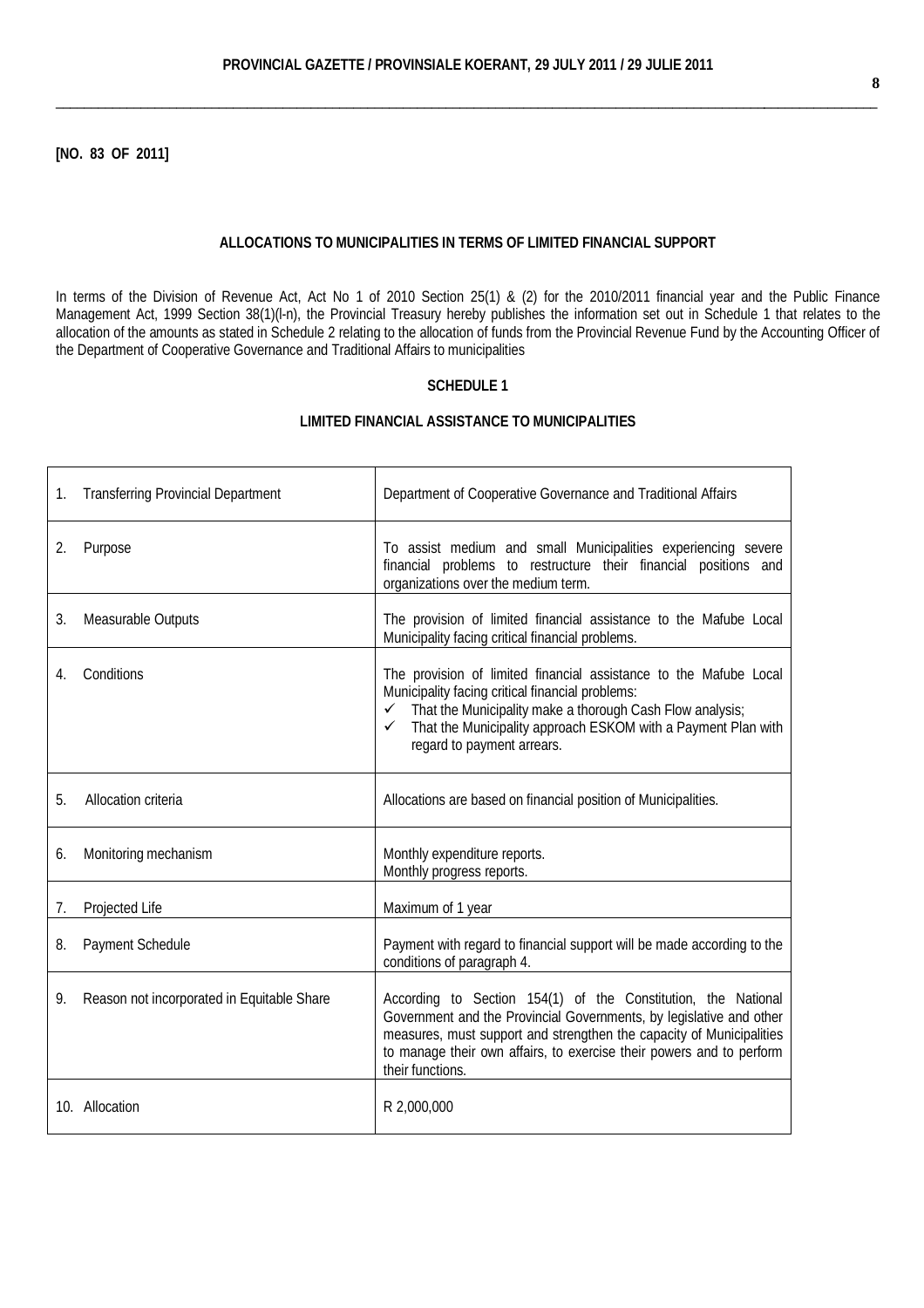\_\_\_\_\_\_\_\_\_\_\_\_\_\_\_\_\_\_\_\_\_\_\_\_\_\_\_\_\_\_\_\_\_\_\_\_\_\_\_\_\_\_\_\_\_\_\_\_\_\_\_\_\_\_\_\_\_\_\_\_\_\_\_\_\_\_\_\_\_\_\_\_\_\_\_\_\_\_\_\_\_\_\_\_\_\_\_\_\_\_\_\_\_\_\_\_\_\_\_\_\_\_\_\_\_\_\_\_\_\_\_\_\_\_\_\_

**[NO. 83 OF 2011]**

#### **ALLOCATIONS TO MUNICIPALITIES IN TERMS OF LIMITED FINANCIAL SUPPORT**

In terms of the [Division of Revenue Act,](http://greengazette.co.za/acts/division-of-revenue-act_1998-028) [Act](http://greengazette.co.za/acts/act_1969-049) No 1 of 2010 Section 25(1) & (2) for the 2010/2011 financial year and the [Public Finance](http://greengazette.co.za/acts/public-finance-management-act_1999-001)  [Management Act,](http://greengazette.co.za/acts/public-finance-management-act_1999-001) 1999 Section 38(1)(l-n), the Provincial Treasury hereby publishes the information set out in Schedule 1 that relates to the allocation of the amounts as stated in Schedule 2 relating to the allocation of funds from the Provincial Revenue Fund by the Accounting Officer of the [Department of Cooperative Governance](http://greengazette.co.za/departments/governance) and Traditional Affairs to municipalities

# **SCHEDULE 1**

# **LIMITED FINANCIAL ASSISTANCE TO MUNICIPALITIES**

| 1. | <b>Transferring Provincial Department</b>  | Department of Cooperative Governance and Traditional Affairs                                                                                                                                                                                                                                                   |
|----|--------------------------------------------|----------------------------------------------------------------------------------------------------------------------------------------------------------------------------------------------------------------------------------------------------------------------------------------------------------------|
| 2. | Purpose                                    | To assist medium and small Municipalities experiencing severe<br>financial problems to restructure their financial positions and<br>organizations over the medium term.                                                                                                                                        |
| 3. | Measurable Outputs                         | The provision of limited financial assistance to the Mafube Local<br>Municipality facing critical financial problems.                                                                                                                                                                                          |
| 4. | Conditions                                 | The provision of limited financial assistance to the Mafube Local<br>Municipality facing critical financial problems:<br>$\checkmark$ That the Municipality make a thorough Cash Flow analysis;<br>That the Municipality approach ESKOM with a Payment Plan with<br>$\checkmark$<br>regard to payment arrears. |
| 5. | Allocation criteria                        | Allocations are based on financial position of Municipalities.                                                                                                                                                                                                                                                 |
| 6. | Monitoring mechanism                       | Monthly expenditure reports.<br>Monthly progress reports.                                                                                                                                                                                                                                                      |
| 7. | Projected Life                             | Maximum of 1 year                                                                                                                                                                                                                                                                                              |
| 8. | Payment Schedule                           | Payment with regard to financial support will be made according to the<br>conditions of paragraph 4.                                                                                                                                                                                                           |
| 9. | Reason not incorporated in Equitable Share | According to Section 154(1) of the Constitution, the National<br>Government and the Provincial Governments, by legislative and other<br>measures, must support and strengthen the capacity of Municipalities<br>to manage their own affairs, to exercise their powers and to perform<br>their functions.       |
|    | 10. Allocation                             | R 2,000,000                                                                                                                                                                                                                                                                                                    |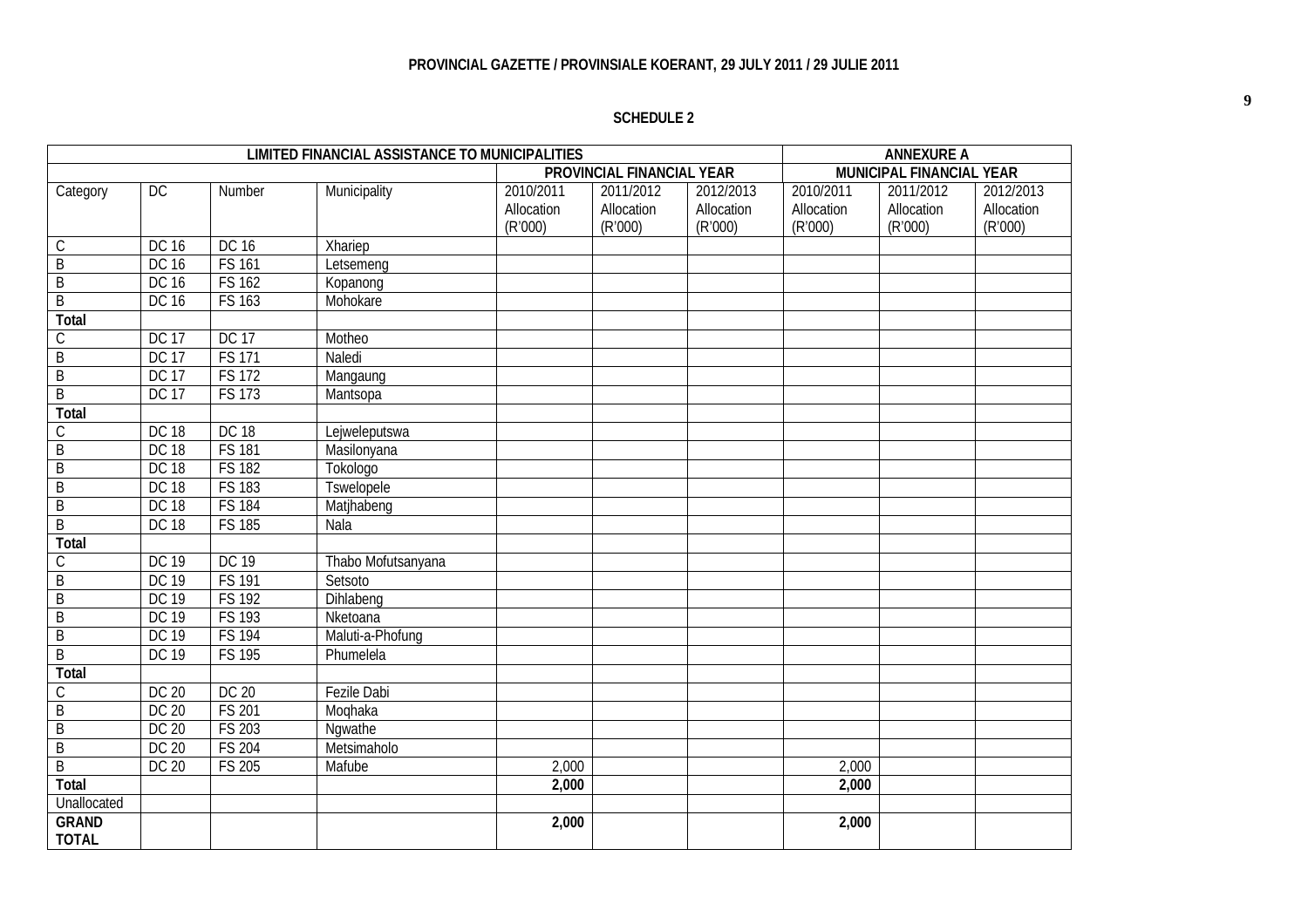# **PROVINCIAL GAZETTE / PROVINSIALE KOERANT, 29 JULY 2011 / 29 JULIE 2011**

# **SCHEDULE 2**

|                |              |               | <b>LIMITED FINANCIAL ASSISTANCE TO MUNICIPALITIES</b> |            |                                  |            |            | <b>ANNEXURE A</b>               |            |
|----------------|--------------|---------------|-------------------------------------------------------|------------|----------------------------------|------------|------------|---------------------------------|------------|
|                |              |               |                                                       |            | <b>PROVINCIAL FINANCIAL YEAR</b> |            |            | <b>MUNICIPAL FINANCIAL YEAR</b> |            |
| Category       | DC           | Number        | Municipality                                          | 2010/2011  | 2011/2012                        | 2012/2013  | 2010/2011  | 2011/2012                       | 2012/2013  |
|                |              |               |                                                       | Allocation | Allocation                       | Allocation | Allocation | Allocation                      | Allocation |
|                |              |               |                                                       | (R'000)    | (R'000)                          | (R'000)    | (R'000)    | (R'000)                         | (R'000)    |
| $\mathsf C$    | <b>DC 16</b> | <b>DC 16</b>  | Xhariep                                               |            |                                  |            |            |                                 |            |
| $\overline{B}$ | <b>DC 16</b> | <b>FS 161</b> | Letsemeng                                             |            |                                  |            |            |                                 |            |
| $\overline{B}$ | <b>DC 16</b> | <b>FS 162</b> | Kopanong                                              |            |                                  |            |            |                                 |            |
| B              | <b>DC 16</b> | <b>FS 163</b> | Mohokare                                              |            |                                  |            |            |                                 |            |
| <b>Total</b>   |              |               |                                                       |            |                                  |            |            |                                 |            |
| $\mathsf C$    | <b>DC 17</b> | <b>DC 17</b>  | Motheo                                                |            |                                  |            |            |                                 |            |
| B              | <b>DC 17</b> | <b>FS 171</b> | Naledi                                                |            |                                  |            |            |                                 |            |
| $\mathsf B$    | <b>DC 17</b> | <b>FS 172</b> | Mangaung                                              |            |                                  |            |            |                                 |            |
| $\overline{B}$ | <b>DC 17</b> | <b>FS 173</b> | Mantsopa                                              |            |                                  |            |            |                                 |            |
| <b>Total</b>   |              |               |                                                       |            |                                  |            |            |                                 |            |
| $\mathsf{C}$   | <b>DC 18</b> | <b>DC 18</b>  | Lejweleputswa                                         |            |                                  |            |            |                                 |            |
| B              | <b>DC 18</b> | <b>FS 181</b> | Masilonyana                                           |            |                                  |            |            |                                 |            |
| $\mathsf B$    | <b>DC 18</b> | <b>FS 182</b> | Tokologo                                              |            |                                  |            |            |                                 |            |
| $\overline{B}$ | <b>DC 18</b> | <b>FS 183</b> | <b>Tswelopele</b>                                     |            |                                  |            |            |                                 |            |
| $\overline{B}$ | <b>DC 18</b> | <b>FS 184</b> | Matjhabeng                                            |            |                                  |            |            |                                 |            |
| $\overline{B}$ | <b>DC 18</b> | <b>FS 185</b> | Nala                                                  |            |                                  |            |            |                                 |            |
| <b>Total</b>   |              |               |                                                       |            |                                  |            |            |                                 |            |
| $\mathsf C$    | <b>DC 19</b> | <b>DC 19</b>  | Thabo Mofutsanyana                                    |            |                                  |            |            |                                 |            |
| $\overline{B}$ | <b>DC 19</b> | <b>FS 191</b> | Setsoto                                               |            |                                  |            |            |                                 |            |
| $\overline{B}$ | DC 19        | <b>FS 192</b> | Dihlabeng                                             |            |                                  |            |            |                                 |            |
| $\overline{B}$ | <b>DC 19</b> | <b>FS 193</b> | Nketoana                                              |            |                                  |            |            |                                 |            |
| $\overline{B}$ | <b>DC 19</b> | <b>FS 194</b> | Maluti-a-Phofung                                      |            |                                  |            |            |                                 |            |
| $\overline{B}$ | <b>DC 19</b> | <b>FS 195</b> | Phumelela                                             |            |                                  |            |            |                                 |            |
| <b>Total</b>   |              |               |                                                       |            |                                  |            |            |                                 |            |
| $\mathsf{C}$   | <b>DC 20</b> | <b>DC 20</b>  | <b>Fezile Dabi</b>                                    |            |                                  |            |            |                                 |            |
| $\overline{B}$ | <b>DC 20</b> | <b>FS 201</b> | Moqhaka                                               |            |                                  |            |            |                                 |            |
| $\mathsf B$    | <b>DC 20</b> | <b>FS 203</b> | Ngwathe                                               |            |                                  |            |            |                                 |            |
| $\overline{B}$ | <b>DC 20</b> | <b>FS 204</b> | Metsimaholo                                           |            |                                  |            |            |                                 |            |
| $\mathsf B$    | <b>DC 20</b> | <b>FS 205</b> | Mafube                                                | 2,000      |                                  |            | 2,000      |                                 |            |
| <b>Total</b>   |              |               |                                                       | 2,000      |                                  |            | 2,000      |                                 |            |
| Unallocated    |              |               |                                                       |            |                                  |            |            |                                 |            |
| <b>GRAND</b>   |              |               |                                                       | 2,000      |                                  |            | 2,000      |                                 |            |
| <b>TOTAL</b>   |              |               |                                                       |            |                                  |            |            |                                 |            |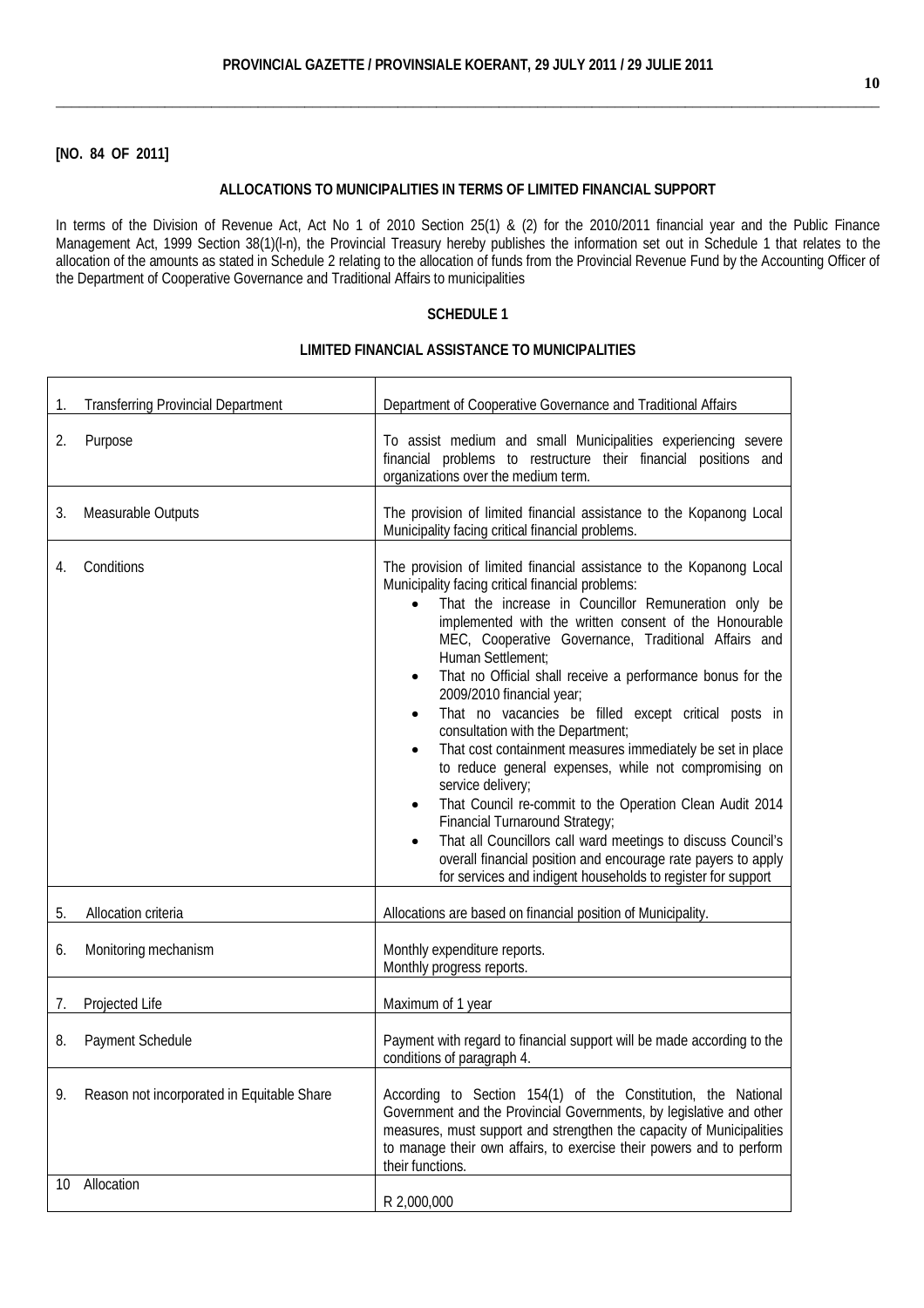\_\_\_\_\_\_\_\_\_\_\_\_\_\_\_\_\_\_\_\_\_\_\_\_\_\_\_\_\_\_\_\_\_\_\_\_\_\_\_\_\_\_\_\_\_\_\_\_\_\_\_\_\_\_\_\_\_\_\_\_\_\_\_\_\_\_\_\_\_\_\_\_\_\_\_\_\_\_\_\_\_\_\_\_\_\_\_\_\_\_\_\_\_\_\_\_\_\_\_\_\_\_\_\_\_\_

# **[NO. 84 OF 2011]**

# **ALLOCATIONS TO MUNICIPALITIES IN TERMS OF LIMITED FINANCIAL SUPPORT**

In terms of the [Division of Revenue Act,](http://greengazette.co.za/acts/division-of-revenue-act_1998-028) [Act](http://greengazette.co.za/acts/act_1969-049) No 1 of 2010 Section 25(1) & (2) for the 2010/2011 financial year and the [Public Finance](http://greengazette.co.za/acts/public-finance-management-act_1999-001)  [Management Act,](http://greengazette.co.za/acts/public-finance-management-act_1999-001) 1999 Section 38(1)(l-n), the Provincial Treasury hereby publishes the information set out in Schedule 1 that relates to the allocation of the amounts as stated in Schedule 2 relating to the allocation of funds from the Provincial Revenue Fund by the Accounting Officer of the [Department of Cooperative Governance](http://greengazette.co.za/departments/governance) and Traditional Affairs to municipalities

# **SCHEDULE 1**

| 1. | <b>Transferring Provincial Department</b>  | Department of Cooperative Governance and Traditional Affairs                                                                                                                                                                                                                                                                                                                                                                                                                                                                                                                                                                                                                                                                                                                                                                                                                                                                                                                  |
|----|--------------------------------------------|-------------------------------------------------------------------------------------------------------------------------------------------------------------------------------------------------------------------------------------------------------------------------------------------------------------------------------------------------------------------------------------------------------------------------------------------------------------------------------------------------------------------------------------------------------------------------------------------------------------------------------------------------------------------------------------------------------------------------------------------------------------------------------------------------------------------------------------------------------------------------------------------------------------------------------------------------------------------------------|
| 2. | Purpose                                    | To assist medium and small Municipalities experiencing severe<br>financial problems to restructure their financial positions and<br>organizations over the medium term.                                                                                                                                                                                                                                                                                                                                                                                                                                                                                                                                                                                                                                                                                                                                                                                                       |
| 3. | Measurable Outputs                         | The provision of limited financial assistance to the Kopanong Local<br>Municipality facing critical financial problems.                                                                                                                                                                                                                                                                                                                                                                                                                                                                                                                                                                                                                                                                                                                                                                                                                                                       |
| 4. | Conditions                                 | The provision of limited financial assistance to the Kopanong Local<br>Municipality facing critical financial problems:<br>That the increase in Councillor Remuneration only be<br>$\bullet$<br>implemented with the written consent of the Honourable<br>MEC, Cooperative Governance, Traditional Affairs and<br>Human Settlement:<br>That no Official shall receive a performance bonus for the<br>2009/2010 financial year;<br>That no vacancies be filled except critical posts in<br>consultation with the Department;<br>That cost containment measures immediately be set in place<br>to reduce general expenses, while not compromising on<br>service delivery;<br>That Council re-commit to the Operation Clean Audit 2014<br><b>Financial Turnaround Strategy;</b><br>That all Councillors call ward meetings to discuss Council's<br>overall financial position and encourage rate payers to apply<br>for services and indigent households to register for support |
| 5. | Allocation criteria                        | Allocations are based on financial position of Municipality.                                                                                                                                                                                                                                                                                                                                                                                                                                                                                                                                                                                                                                                                                                                                                                                                                                                                                                                  |
| 6. | Monitoring mechanism                       | Monthly expenditure reports.<br>Monthly progress reports.                                                                                                                                                                                                                                                                                                                                                                                                                                                                                                                                                                                                                                                                                                                                                                                                                                                                                                                     |
| 7. | Projected Life                             | Maximum of 1 year                                                                                                                                                                                                                                                                                                                                                                                                                                                                                                                                                                                                                                                                                                                                                                                                                                                                                                                                                             |
| 8. | Payment Schedule                           | Payment with regard to financial support will be made according to the<br>conditions of paragraph 4.                                                                                                                                                                                                                                                                                                                                                                                                                                                                                                                                                                                                                                                                                                                                                                                                                                                                          |
| 9. | Reason not incorporated in Equitable Share | According to Section 154(1) of the Constitution, the National<br>Government and the Provincial Governments, by legislative and other<br>measures, must support and strengthen the capacity of Municipalities<br>to manage their own affairs, to exercise their powers and to perform<br>their functions.                                                                                                                                                                                                                                                                                                                                                                                                                                                                                                                                                                                                                                                                      |
| 10 | Allocation                                 | R 2,000,000                                                                                                                                                                                                                                                                                                                                                                                                                                                                                                                                                                                                                                                                                                                                                                                                                                                                                                                                                                   |

#### **LIMITED FINANCIAL ASSISTANCE TO MUNICIPALITIES**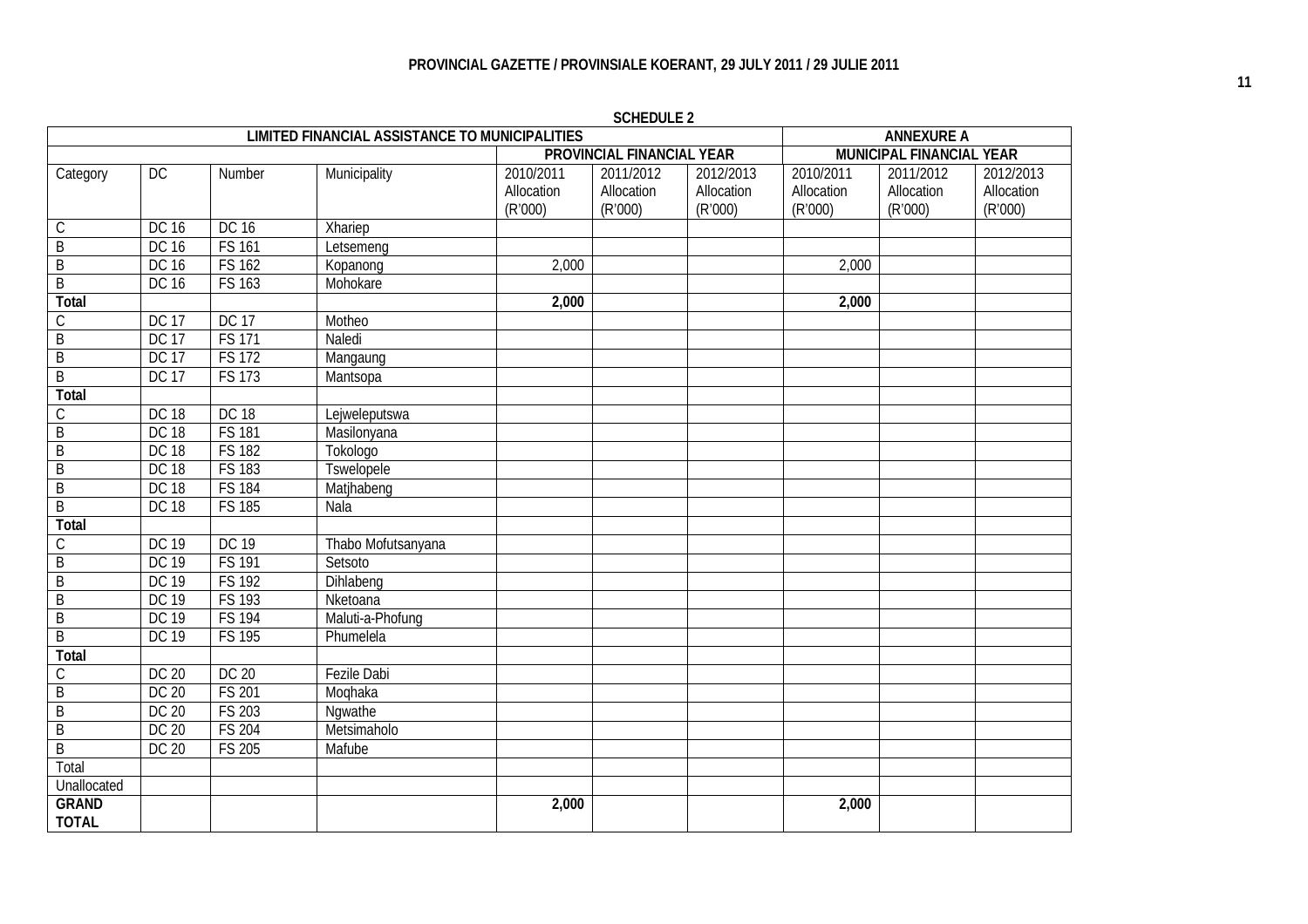| <b>LIMITED FINANCIAL ASSISTANCE TO MUNICIPALITIES</b> |              |               |                    |            |                                  | <b>ANNEXURE A</b> |                                 |            |            |
|-------------------------------------------------------|--------------|---------------|--------------------|------------|----------------------------------|-------------------|---------------------------------|------------|------------|
|                                                       |              |               |                    |            | <b>PROVINCIAL FINANCIAL YEAR</b> |                   | <b>MUNICIPAL FINANCIAL YEAR</b> |            |            |
| Category                                              | DC           | Number        | Municipality       | 2010/2011  | 2011/2012                        | 2012/2013         | 2010/2011                       | 2011/2012  | 2012/2013  |
|                                                       |              |               |                    | Allocation | Allocation                       | Allocation        | Allocation                      | Allocation | Allocation |
|                                                       |              |               |                    | (R'000)    | (R'000)                          | (R'000)           | (R'000)                         | (R'000)    | (R'000)    |
| $\mathsf C$                                           | <b>DC 16</b> | DC 16         | Xhariep            |            |                                  |                   |                                 |            |            |
| $\sf B$                                               | DC 16        | <b>FS 161</b> | Letsemeng          |            |                                  |                   |                                 |            |            |
| $\sf B$                                               | DC 16        | <b>FS 162</b> | Kopanong           | 2,000      |                                  |                   | 2,000                           |            |            |
| $\overline{B}$                                        | <b>DC 16</b> | <b>FS 163</b> | Mohokare           |            |                                  |                   |                                 |            |            |
| <b>Total</b>                                          |              |               |                    | 2,000      |                                  |                   | 2,000                           |            |            |
| $\mathsf C$                                           | <b>DC 17</b> | <b>DC 17</b>  | Motheo             |            |                                  |                   |                                 |            |            |
| $\overline{B}$                                        | <b>DC 17</b> | <b>FS 171</b> | Naledi             |            |                                  |                   |                                 |            |            |
| $\sf B$                                               | <b>DC 17</b> | <b>FS 172</b> | Mangaung           |            |                                  |                   |                                 |            |            |
| $\overline{B}$                                        | <b>DC 17</b> | <b>FS 173</b> | Mantsopa           |            |                                  |                   |                                 |            |            |
| <b>Total</b>                                          |              |               |                    |            |                                  |                   |                                 |            |            |
| $\mathsf C$                                           | <b>DC 18</b> | <b>DC 18</b>  | Lejweleputswa      |            |                                  |                   |                                 |            |            |
| $\overline{B}$                                        | <b>DC 18</b> | <b>FS 181</b> | Masilonyana        |            |                                  |                   |                                 |            |            |
| $\overline{B}$                                        | <b>DC 18</b> | <b>FS 182</b> | Tokologo           |            |                                  |                   |                                 |            |            |
| $\overline{B}$                                        | <b>DC 18</b> | <b>FS 183</b> | Tswelopele         |            |                                  |                   |                                 |            |            |
| $\overline{B}$                                        | <b>DC 18</b> | <b>FS 184</b> | Matjhabeng         |            |                                  |                   |                                 |            |            |
| $\overline{B}$                                        | <b>DC 18</b> | <b>FS 185</b> | Nala               |            |                                  |                   |                                 |            |            |
| <b>Total</b>                                          |              |               |                    |            |                                  |                   |                                 |            |            |
| $\mathsf C$                                           | <b>DC 19</b> | <b>DC 19</b>  | Thabo Mofutsanyana |            |                                  |                   |                                 |            |            |
| $\overline{B}$                                        | <b>DC 19</b> | <b>FS 191</b> | Setsoto            |            |                                  |                   |                                 |            |            |
| $\overline{B}$                                        | <b>DC 19</b> | <b>FS 192</b> | Dihlabeng          |            |                                  |                   |                                 |            |            |
| $\overline{B}$                                        | <b>DC 19</b> | <b>FS 193</b> | Nketoana           |            |                                  |                   |                                 |            |            |
| $\overline{B}$                                        | <b>DC 19</b> | <b>FS 194</b> | Maluti-a-Phofung   |            |                                  |                   |                                 |            |            |
| $\overline{B}$                                        | <b>DC 19</b> | <b>FS 195</b> | Phumelela          |            |                                  |                   |                                 |            |            |
| <b>Total</b>                                          |              |               |                    |            |                                  |                   |                                 |            |            |
| $\overline{C}$                                        | <b>DC 20</b> | DC 20         | <b>Fezile Dabi</b> |            |                                  |                   |                                 |            |            |
| $\overline{B}$                                        | <b>DC 20</b> | <b>FS 201</b> | Moqhaka            |            |                                  |                   |                                 |            |            |
| $\overline{B}$                                        | <b>DC 20</b> | <b>FS 203</b> | Ngwathe            |            |                                  |                   |                                 |            |            |
| $\overline{B}$                                        | DC 20        | <b>FS 204</b> | Metsimaholo        |            |                                  |                   |                                 |            |            |
| $\overline{B}$                                        | DC 20        | <b>FS 205</b> | Mafube             |            |                                  |                   |                                 |            |            |
| Total                                                 |              |               |                    |            |                                  |                   |                                 |            |            |
| Unallocated                                           |              |               |                    |            |                                  |                   |                                 |            |            |
| <b>GRAND</b>                                          |              |               |                    | 2,000      |                                  |                   | 2,000                           |            |            |
| <b>TOTAL</b>                                          |              |               |                    |            |                                  |                   |                                 |            |            |

**SCHEDULE 2**